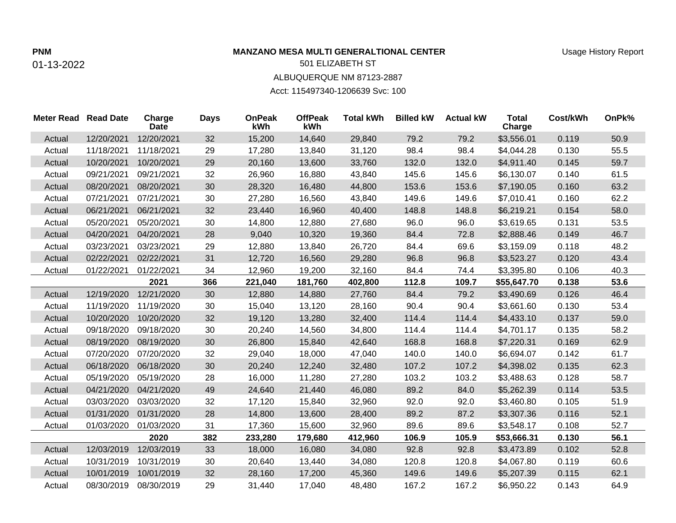## **PNM MANZANO MESA MULTI GENERALTIONAL CENTER**

## 01-13-2022

## 501 ELIZABETH ST ALBUQUERQUE NM 87123-2887

Acct: 115497340-1206639 Svc: 100

| <b>Meter Read Read Date</b> |            | Charge<br><b>Date</b> | <b>Days</b> | <b>OnPeak</b><br>kWh | <b>OffPeak</b><br>kWh | <b>Total kWh</b> | <b>Billed kW</b> | <b>Actual kW</b> | <b>Total</b><br>Charge | Cost/kWh | OnPk% |
|-----------------------------|------------|-----------------------|-------------|----------------------|-----------------------|------------------|------------------|------------------|------------------------|----------|-------|
| Actual                      | 12/20/2021 | 12/20/2021            | 32          | 15,200               | 14,640                | 29,840           | 79.2             | 79.2             | \$3,556.01             | 0.119    | 50.9  |
| Actual                      | 11/18/2021 | 11/18/2021            | 29          | 17,280               | 13,840                | 31,120           | 98.4             | 98.4             | \$4,044.28             | 0.130    | 55.5  |
| Actual                      | 10/20/2021 | 10/20/2021            | 29          | 20,160               | 13,600                | 33,760           | 132.0            | 132.0            | \$4,911.40             | 0.145    | 59.7  |
| Actual                      | 09/21/2021 | 09/21/2021            | 32          | 26,960               | 16,880                | 43,840           | 145.6            | 145.6            | \$6,130.07             | 0.140    | 61.5  |
| Actual                      | 08/20/2021 | 08/20/2021            | 30          | 28,320               | 16,480                | 44,800           | 153.6            | 153.6            | \$7,190.05             | 0.160    | 63.2  |
| Actual                      | 07/21/2021 | 07/21/2021            | 30          | 27,280               | 16,560                | 43,840           | 149.6            | 149.6            | \$7,010.41             | 0.160    | 62.2  |
| Actual                      | 06/21/2021 | 06/21/2021            | 32          | 23,440               | 16,960                | 40,400           | 148.8            | 148.8            | \$6,219.21             | 0.154    | 58.0  |
| Actual                      | 05/20/2021 | 05/20/2021            | 30          | 14,800               | 12,880                | 27,680           | 96.0             | 96.0             | \$3,619.65             | 0.131    | 53.5  |
| Actual                      | 04/20/2021 | 04/20/2021            | 28          | 9,040                | 10,320                | 19,360           | 84.4             | 72.8             | \$2,888.46             | 0.149    | 46.7  |
| Actual                      | 03/23/2021 | 03/23/2021            | 29          | 12,880               | 13,840                | 26,720           | 84.4             | 69.6             | \$3,159.09             | 0.118    | 48.2  |
| Actual                      | 02/22/2021 | 02/22/2021            | 31          | 12,720               | 16,560                | 29,280           | 96.8             | 96.8             | \$3,523.27             | 0.120    | 43.4  |
| Actual                      | 01/22/2021 | 01/22/2021            | 34          | 12,960               | 19,200                | 32,160           | 84.4             | 74.4             | \$3,395.80             | 0.106    | 40.3  |
|                             |            | 2021                  | 366         | 221,040              | 181,760               | 402,800          | 112.8            | 109.7            | \$55,647.70            | 0.138    | 53.6  |
| Actual                      | 12/19/2020 | 12/21/2020            | 30          | 12,880               | 14,880                | 27,760           | 84.4             | 79.2             | \$3,490.69             | 0.126    | 46.4  |
| Actual                      | 11/19/2020 | 11/19/2020            | 30          | 15,040               | 13,120                | 28,160           | 90.4             | 90.4             | \$3,661.60             | 0.130    | 53.4  |
| Actual                      | 10/20/2020 | 10/20/2020            | 32          | 19,120               | 13,280                | 32,400           | 114.4            | 114.4            | \$4,433.10             | 0.137    | 59.0  |
| Actual                      | 09/18/2020 | 09/18/2020            | 30          | 20,240               | 14,560                | 34,800           | 114.4            | 114.4            | \$4,701.17             | 0.135    | 58.2  |
| Actual                      | 08/19/2020 | 08/19/2020            | 30          | 26,800               | 15,840                | 42,640           | 168.8            | 168.8            | \$7,220.31             | 0.169    | 62.9  |
| Actual                      | 07/20/2020 | 07/20/2020            | 32          | 29,040               | 18,000                | 47,040           | 140.0            | 140.0            | \$6,694.07             | 0.142    | 61.7  |
| Actual                      | 06/18/2020 | 06/18/2020            | 30          | 20,240               | 12,240                | 32,480           | 107.2            | 107.2            | \$4,398.02             | 0.135    | 62.3  |
| Actual                      | 05/19/2020 | 05/19/2020            | 28          | 16,000               | 11,280                | 27,280           | 103.2            | 103.2            | \$3,488.63             | 0.128    | 58.7  |
| Actual                      | 04/21/2020 | 04/21/2020            | 49          | 24,640               | 21,440                | 46,080           | 89.2             | 84.0             | \$5,262.39             | 0.114    | 53.5  |
| Actual                      | 03/03/2020 | 03/03/2020            | 32          | 17,120               | 15,840                | 32,960           | 92.0             | 92.0             | \$3,460.80             | 0.105    | 51.9  |
| Actual                      | 01/31/2020 | 01/31/2020            | 28          | 14,800               | 13,600                | 28,400           | 89.2             | 87.2             | \$3,307.36             | 0.116    | 52.1  |
| Actual                      | 01/03/2020 | 01/03/2020            | 31          | 17,360               | 15,600                | 32,960           | 89.6             | 89.6             | \$3,548.17             | 0.108    | 52.7  |
|                             |            | 2020                  | 382         | 233,280              | 179,680               | 412,960          | 106.9            | 105.9            | \$53,666.31            | 0.130    | 56.1  |
| Actual                      | 12/03/2019 | 12/03/2019            | 33          | 18,000               | 16,080                | 34,080           | 92.8             | 92.8             | \$3,473.89             | 0.102    | 52.8  |
| Actual                      | 10/31/2019 | 10/31/2019            | 30          | 20,640               | 13,440                | 34,080           | 120.8            | 120.8            | \$4,067.80             | 0.119    | 60.6  |
| Actual                      | 10/01/2019 | 10/01/2019            | 32          | 28,160               | 17,200                | 45,360           | 149.6            | 149.6            | \$5,207.39             | 0.115    | 62.1  |
| Actual                      | 08/30/2019 | 08/30/2019            | 29          | 31,440               | 17,040                | 48,480           | 167.2            | 167.2            | \$6,950.22             | 0.143    | 64.9  |